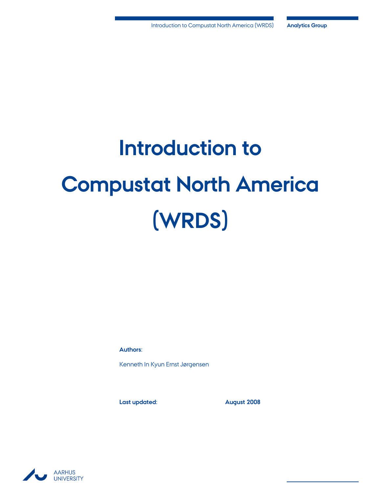# **Introduction to Compustat North America (WRDS)**

**Authors:**

Kenneth In Kyun Ernst Jørgensen

**Last updated: August 2008**

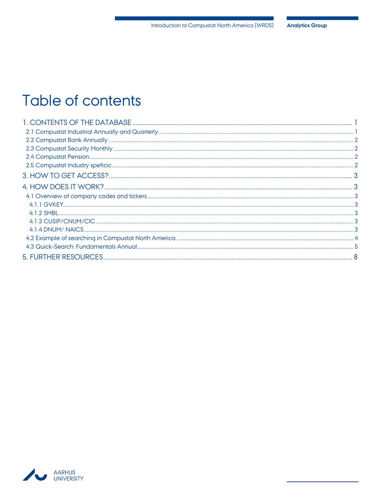# Table of contents

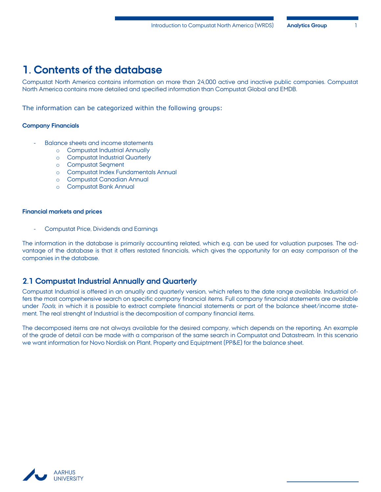# <span id="page-2-0"></span>**1. Contents of the database**

Compustat North America contains information on more than 24,000 active and inactive public companies. Compustat North America contains more detailed and specified information than Compustat Global and EMDB.

The information can be categorized within the following groups:

#### **Company Financials**

- Balance sheets and income statements
	- o Compustat Industrial Annually
	- o Compustat Industrial Quarterly
	- o Compustat Segment
	- o Compustat Index Fundamentals Annual
	- o Compustat Canadian Annual
	- o Compustat Bank Annual

#### **Financial markets and prices**

- Compustat Price, Dividends and Earnings

The information in the database is primarily accounting related, which e.g. can be used for valuation purposes. The advantage of the database is that it offers restated financials, which gives the opportunity for an easy comparison of the companies in the database.

## <span id="page-2-1"></span>**2.1 Compustat Industrial Annually and Quarterly**

Compustat Industrial is offered in an anually and quarterly version, which refers to the date range available. Industrial offers the most comprehensive search on specific company financial items. Full company financial statements are available under Tools, in which it is possible to extract complete financial statements or part of the balance sheet/income statement. The real strenght of Industrial is the decomposition of company financial items.

The decomposed items are not always available for the desired company, which depends on the reporting. An example of the grade of detail can be made with a comparison of the same search in Compustat and Datastream. In this scenario we want information for Novo Nordisk on Plant, Property and Equiptment (PP&E) for the balance sheet.

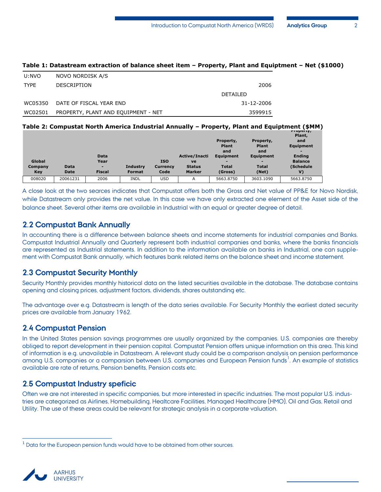| U:NVO       | NOVO NORDISK A/S                    |            |
|-------------|-------------------------------------|------------|
| <b>TYPE</b> | <b>DESCRIPTION</b>                  | 2006       |
|             |                                     | DETAILED   |
| WC05350     | DATE OF FISCAL YEAR END             | 31-12-2006 |
| WC02501     | PROPERTY, PLANT AND EQUIPMENT - NET | 3599915    |

#### **Table 1: Datastream extraction of balance sheet item – Property, Plant and Equiptment – Net (\$1000)**

# **Table 2: Compustat North America Industrial Annually – Property, Plant and Equiptment (\$MM) Property,**

| Global<br>Company<br>Key | <b>Data</b><br>Date | Data<br>Year<br>۰<br><b>Fiscal</b> | <b>Industry</b><br><b>Format</b> | <b>ISO</b><br><b>Currency</b><br>Code | Active/Inacti<br>ve<br><b>Status</b><br><b>Marker</b> | Property,<br><b>Plant</b><br>and<br>Equipment<br>-<br><b>Total</b><br>(Gross) | Property,<br><b>Plant</b><br>and<br>Equipment<br>-<br><b>Total</b><br>(Net) | $\cdots$<br>Plant,<br>and<br>Equipment<br><b>Endina</b><br><b>Balance</b><br>(Schedule<br>V) |  |
|--------------------------|---------------------|------------------------------------|----------------------------------|---------------------------------------|-------------------------------------------------------|-------------------------------------------------------------------------------|-----------------------------------------------------------------------------|----------------------------------------------------------------------------------------------|--|
| 008020                   | 20061231            | 2006                               | <b>INDL</b>                      | USD                                   | A                                                     | 5663.8750                                                                     | 3603.1090                                                                   | 5663.8750                                                                                    |  |
|                          |                     |                                    |                                  |                                       |                                                       |                                                                               |                                                                             |                                                                                              |  |

A close look at the two searces indicates that Compustat offers both the Gross and Net value of PP&E for Novo Nordisk, while Datastream only provides the net value. In this case we have only extracted one element of the Asset side of the balance sheet. Several other items are available in Industrial with an equal or greater degree of detail.

## <span id="page-3-0"></span>**2.2 Compustat Bank Annually**

In accounting there is a difference between balance sheets and income statements for industrial companies and Banks. Compustat Industrial Annually and Quarterly represent both industrial companies and banks, where the banks financials are represented as Industrial statements. In addition to the information available on banks in Industrial, one can supplement with Compustat Bank annually, which features bank related items on the balance sheet and income statement.

## <span id="page-3-1"></span>**2.3 Compustat Security Monthly**

Security Monthly provides monthly historical data on the listed securities available in the database. The database contains opening and closing prices, adjustment factors, dividends, shares outstanding etc.

The advantage over e.g. Datastream is length of the data series available. For Security Monthly the earliest dated security prices are available from January 1962.

## <span id="page-3-2"></span>**2.4 Compustat Pension**

In the United States pension savings programmes are usually organized by the companies. U.S. companies are thereby obliged to report development in their pension capital. Compustat Pension offers unique information on this area. This kind of information is e.g. unavailable in Datastream. A relevant study could be a comparison analysis on pension performance among U.S. companies or a comparsion between U.S. companies and European Pension funds<sup>1</sup>. An example of statistics available are rate of returns, Pension benefits, Pension costs etc.

## <span id="page-3-3"></span>**2.5 Compustat Industry speficic**

Often we are not interested in specific companies, but more interested in specific industries. The most popular U.S. industries are categorized as Airlines, Homebuilding, Healtcare Facilities, Managed Healthcare (HMO), Oil and Gas, Retail and Utility. The use of these areas could be relevant for strategic analysis in a corporate valuation.

 $<sup>1</sup>$  Data for the European pension funds would have to be obtained from other sources.</sup>



 $\overline{a}$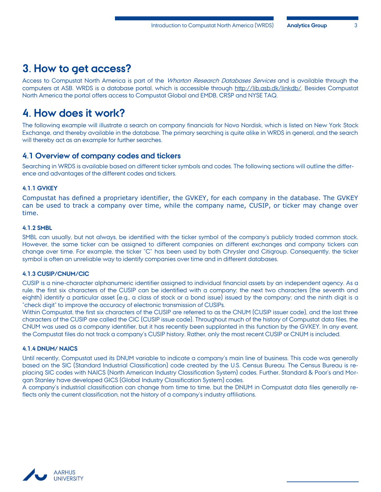# <span id="page-4-0"></span>**3. How to get access?**

Access to Compustat North America is part of the Wharton Research Databases Services and is available through the computers at ASB. WRDS is a database portal, which is accessible through http://lib.asb.dk/linkdb/. Besides Compustat North America the portal offers access to Compustat Global and EMDB, CRSP and NYSE TAQ.

# <span id="page-4-1"></span>**4. How does it work?**

The following example will illustrate a search on company financials for Novo Nordisk, which is listed on New York Stock Exchange, and thereby available in the database. The primary searching is quite alike in WRDS in general, and the search will thereby act as an example for further searches.

## <span id="page-4-2"></span>**4.1 Overview of company codes and tickers**

Searching in WRDS is available based on different ticker symbols and codes. The following sections will outline the difference and advantages of the different codes and tickers.

#### <span id="page-4-3"></span>**4.1.1 GVKEY**

Compustat has defined a proprietary identifier, the GVKEY, for each company in the database. The GVKEY can be used to track a company over time, while the company name, CUSIP, or ticker may change over time.

#### <span id="page-4-4"></span>**4.1.2 SMBL**

SMBL can usually, but not always, be identified with the ticker symbol of the company's publicly traded common stock. However, the same ticker can be assigned to different companies on different exchanges and company tickers can change over time. For example, the ticker "C" has been used by both Chrysler and Citigroup. Consequently, the ticker symbol is often an unreliable way to identify companies over time and in different databases.

#### <span id="page-4-5"></span>**4.1.3 CUSIP/CNUM/CIC**

CUSIP is a nine-character alphanumeric identifier assigned to individual financial assets by an independent agency. As a rule, the first six characters of the CUSIP can be identified with a company; the next two characters (the seventh and eighth) identify a particular asset (e.g., a class of stock or a bond issue) issued by the company; and the ninth digit is a "check digit" to improve the accuracy of electronic transmission of CUSIPs.

Within Compustat, the first six characters of the CUSIP are referred to as the CNUM (CUSIP issuer code), and the last three characters of the CUSIP are called the CIC (CUSIP issue code). Throughout much of the history of Compustat data files, the CNUM was used as a company identifier, but it has recently been supplanted in this function by the GVKEY. In any event, the Compustat files do not track a company's CUSIP history. Rather, only the most recent CUSIP or CNUM is included.

#### <span id="page-4-6"></span>**4.1.4 DNUM/ NAICS**

Until recently, Compustat used its DNUM variable to indicate a company's main line of business. This code was generally based on the SIC (Standard Industrial Classification) code created by the U.S. Census Bureau. The Census Bureau is replacing SIC codes with NAICS (North American Industry Classification System) codes. Further, Standard & Poor's and Morgan Stanley have developed GICS (Global Industry Classification System) codes.

A company's industrial classification can change from time to time, but the DNUM in Compustat data files generally reflects only the current classification, not the history of a company's industry affiliations.

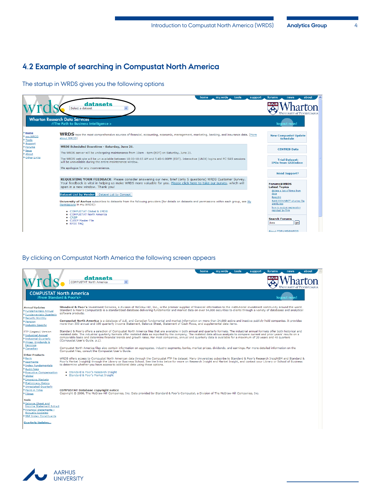# <span id="page-5-0"></span>**4.2 Example of searching in Compustat North America**

The startup in WRDS gives you the following options

|                                       | home<br>my.wrds<br>tools<br>support                                                                                                                                                                                                                                                                                                                                                                                                                                                                    | forums<br>about<br>news                                                                                                                                            |
|---------------------------------------|--------------------------------------------------------------------------------------------------------------------------------------------------------------------------------------------------------------------------------------------------------------------------------------------------------------------------------------------------------------------------------------------------------------------------------------------------------------------------------------------------------|--------------------------------------------------------------------------------------------------------------------------------------------------------------------|
|                                       | datasets<br>Select a dataset<br>$\checkmark$                                                                                                                                                                                                                                                                                                                                                                                                                                                           | UNIVERSITY of PENNSYLVANIA                                                                                                                                         |
|                                       | <b>Wharton Research Data Services</b><br>//The Path to Business Intelligence >                                                                                                                                                                                                                                                                                                                                                                                                                         | logout now!                                                                                                                                                        |
| Home<br>mv.WRDS<br>▶ Tools<br>Support | WRDS taps the most comprehensive sources of financial, accounting, economic, management, marketing, banking, and insurance data. (More<br>about WRDS)                                                                                                                                                                                                                                                                                                                                                  | <b>New Compustat Update</b><br><b>Schedule</b>                                                                                                                     |
| Forums<br><b>News</b><br>About        | WRDS Scheduled Downtime - Saturday, June 21.<br>The WRDS server will be undergoing maintenance from 10am - 6pm (EDT) on Saturday, June 21.                                                                                                                                                                                                                                                                                                                                                             | <b>CENTRIS Data</b>                                                                                                                                                |
| Other Links                           | The WRDS web site will be un available between 10:00-10:15 AM and 5:45-6:00PM (EDT). Interactive (UNIX) logins and PC SAS sessions<br>will be unavailable during the entire maintenance window.<br>We apologize for any inconvenience.                                                                                                                                                                                                                                                                 | <b>Trial Dataset:</b><br><b>IPOs from GSIOnline</b>                                                                                                                |
|                                       |                                                                                                                                                                                                                                                                                                                                                                                                                                                                                                        | <b>Need Support?</b>                                                                                                                                               |
|                                       | REQUESTING YOUR FEEDBACK: Please consider answering our new, brief (only 5 questions) WRDS Customer Survey.<br>Your feedback is vital in helping us make WRDS more valuable for you. Please click here to take our survey, which will<br>open in a new window. Thank you!<br>Dataset List by Vendor Dataset List by Concept<br>University of Aarhus subscribes to datasets from the following providers (for details on datasets and permissions within each group, see My<br>Permissions in my.WRDS): | <b>Forums@WRDS</b><br><b>Latest Topics</b><br>delete a list of firms from<br>data<br>ftse250<br>SAS/CONNECT sharing file<br>attributes<br>how to output regression |
|                                       | • COMPUSTAT Global & EMDB<br>• COMPUSTAT North America<br>$\bullet$ CRSP<br>• CUSIP Master File<br>• NYSE TAO                                                                                                                                                                                                                                                                                                                                                                                          | residual by firm<br><b>Search Forums</b><br>[90]<br>libes<br>About FORUMS@WRDS                                                                                     |

#### By clicking on Compustat North America the following screen appears

|                                                                                                                | my.wrds<br>tools<br>forums<br>home<br>support<br>about<br>news<br>datasets<br>Ÿ<br><b>COMPUSTAT North America</b>                                                                                                                                                                                                                                                                                                                                                                                                                                                                        |
|----------------------------------------------------------------------------------------------------------------|------------------------------------------------------------------------------------------------------------------------------------------------------------------------------------------------------------------------------------------------------------------------------------------------------------------------------------------------------------------------------------------------------------------------------------------------------------------------------------------------------------------------------------------------------------------------------------------|
|                                                                                                                | <b>COMPUSTAT North America</b><br>//from Standard & Poor's><br>logout now!                                                                                                                                                                                                                                                                                                                                                                                                                                                                                                               |
| <b>Annual Updates</b><br>Fundamentals Annual<br>Fundamentals Quarterly                                         | Standard & Poor's Investment Services, a division of McGraw-Hill, Inc., is the premier supplier of financial information to the institutional investment community around the world.<br>Standard & Poor's Compustat® is a standardized database delivering fundamental and market data on over 54,000 securities to clients through a variety of databases and analytical<br>software products.                                                                                                                                                                                          |
| Security Monthly<br>Pension<br>Industry Specific                                                               | Compustat North America is a database of U.S. and Canadian fundamental and market information on more than 24,000 active and inactive publicly held companies. It provides<br>more than 300 annual and 100 quarterly Income Statement, Balance Sheet, Statement of Cash Flows, and supplemental data items.                                                                                                                                                                                                                                                                              |
| FTP (Legacy) Version<br>Industrial Annual<br>Industrial Quarterly<br>Prices, Dividends &<br>Earnings           | Standard & Poor's offers a selection of Compustat North America files that are available in both annual and quarterly formats. The industrial annual formats offer both historical and<br>restated data. The industrial quarterly formats offer restated data as reported by the company. The restated data allows analysts to compare current and prior years' results on a<br>comparable basis and determine financial trends and growth rates. For most companies, annual and quarterly data is available for a maximum of 20 years and 48 quarters<br>(Compustat User's Guide, p.1). |
| Canadian                                                                                                       | Compustat North America files also contain information on aggregates, industry segments, banks, market prices, dividends, and earnings. For more detailed information on the<br>Compustat files, consult the Compustat User's Guide.                                                                                                                                                                                                                                                                                                                                                     |
| <b>Other Products</b><br>Bank<br>Segments<br>Index Fundamentals<br>Audit Fees<br><b>Executive Compensation</b> | WRDS offers access to Compustat North American data through the Compustat FTP file dataset. Many Universities subscribe to Standard & Poor's Research InsightSM and Standard &<br>Poor's Market Insight® through the Library or Business School. See the links below for more on Research Insight and Market Insight, and contact your Library or School of Business<br>to determine whether you have access to additional data using these options.<br>· Standard & Poor's Research Insight                                                                                             |
| Global<br><b>Emerging Markets</b><br>Preliminary History<br>Unrestated Quarterly<br>Point in Time              | • Standard & Poor's Market Insight<br><b>COMPUSTAT Database copyright notice</b>                                                                                                                                                                                                                                                                                                                                                                                                                                                                                                         |
| Filings<br><b>Tools</b>                                                                                        | Copyright © 2006, The McGraw-Hill Companies, Inc. Data provided by Standard & Poor's Compustat, a Division of The McGraw-Hill Companies, Inc.                                                                                                                                                                                                                                                                                                                                                                                                                                            |
| Balance Sheet and<br><b>Income Statement Extract</b><br>Financial Statements -<br><b>Annually Updated</b>      |                                                                                                                                                                                                                                                                                                                                                                                                                                                                                                                                                                                          |
| S&P Index Constituents<br><b>Quarterly Updates</b>                                                             |                                                                                                                                                                                                                                                                                                                                                                                                                                                                                                                                                                                          |
|                                                                                                                |                                                                                                                                                                                                                                                                                                                                                                                                                                                                                                                                                                                          |

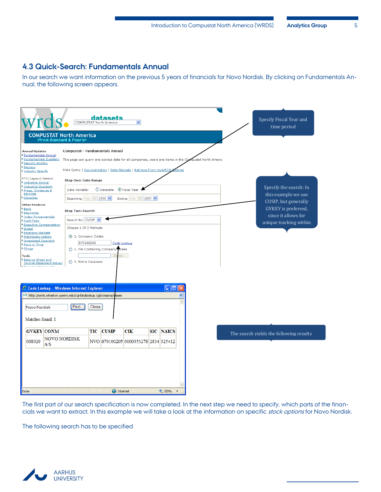# <span id="page-6-0"></span>**4.3 Quick-Search: Fundamentals Annual**

In our search we want information on the previous 5 years of financials for Novo Nordisk. By clicking on Fundamentals Annual, the following screen appears.

| COMPUSTAT North America<br>//from Standard & Poor's>                                                                                                                                                                                                                                                                                                                                                              | datasets<br>$\checkmark$<br><b>COMPUSTAT North America</b>                                                                                                                                                                                                                                                                | Specify Fiscal Year and<br>time period                                                       |
|-------------------------------------------------------------------------------------------------------------------------------------------------------------------------------------------------------------------------------------------------------------------------------------------------------------------------------------------------------------------------------------------------------------------|---------------------------------------------------------------------------------------------------------------------------------------------------------------------------------------------------------------------------------------------------------------------------------------------------------------------------|----------------------------------------------------------------------------------------------|
| <b>Annual Updates</b><br><b>Fundamentals Annual</b><br><b>Fundamentals Quarterly</b><br>Security Monthly<br>Pension<br>Industry Specific                                                                                                                                                                                                                                                                          | <b>Compustat - Fundamentals Annual</b><br>This page can query and extract data for all companies, years and items in the Compustat North Americ<br>Data Query   Documentation   Data Manuals   Retrieve from myWRDS Q<br>ueries                                                                                           |                                                                                              |
| FTP (Legacy) Version<br>Industrial Annual<br>Industrial Quarterly<br>Prices, Dividends &<br>Earnings<br>Canadian                                                                                                                                                                                                                                                                                                  | <b>Step One: Date Range</b><br>⊙ Fiscal Year<br>Date Variable:<br>$O$ Datadate<br>Beginning Dec   2003 V<br>Ending Dec $\vee$ 2007 $\vee$                                                                                                                                                                                 | Specify the search: In<br>this example we use                                                |
| <b>Other Products</b><br>Bank<br>Segments<br>Index Fundamentals<br>Audit Fees<br>Executive Compensation<br>Global<br><b>Emerging Markets</b><br>Preliminary History<br>Unrestated Quarterly<br>Point in Time<br>Filings<br><b>Tools</b><br>Balance Sheet and<br><b>Income Statement Extract</b><br>Producted Personal and<br>C Code Lookup - Windows Internet Explorer<br><b>Novo Nordisk</b><br>Matches found: 1 | <b>Step Two: Search</b><br>Search By CUSIP<br>Choose 1 Of 3 Methods<br>1. Company Codes<br>670100205<br>Code Lookup<br>○ 2. File Containing Company codes<br><b>Bn</b><br>◯ 3. Entire Database<br><u>   -    </u><br>u,<br>http://wrds.wharton.upenn.edu/cgi-bin/lookup.cgi/compna/n <mark>a</mark> mes<br>Find.<br>Close | CUSIP, but generally<br>GVKEY is preferred,<br>since it allows for<br>unique tracking within |
| <b>GVKEY</b> CONM<br><b>NOVO NORDISK</b><br>008020<br>A/S<br>Done                                                                                                                                                                                                                                                                                                                                                 | <b>CUSIP</b><br>TIC<br><b>CIK</b><br><b>SIC NAICS</b><br>NVO 670100205 0000353278 2834 325412<br><b>O</b> Internet<br>$^{4}$ 100%                                                                                                                                                                                         | The search yields the following results                                                      |

The first part of our search specification is now completed. In the next step we need to specify, which parts of the financials we want to extract. In this example we will take a look at the information on specific stock options for Novo Nordisk.

The following search has to be specified

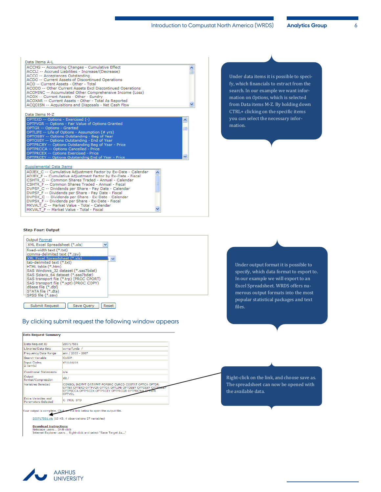| Data Items A-L                                                                                           |   |
|----------------------------------------------------------------------------------------------------------|---|
| ACCHG -- Accounting Changes - Cumulative Effect                                                          |   |
| ACCLI -- Accrued Liabilities - Increase/(Decrease)                                                       |   |
| ACCO -- Acceptances Outstanding                                                                          |   |
| ACDO -- Current Assets of Discontinued Operations                                                        |   |
| ACO -- Current Assets - Other - Total<br>ACODO -- Other Current Assets Excl Discontinued Operations      |   |
| ACOMINC -- Accumulated Other Comprehensive Income (Loss)                                                 |   |
| ACOX -- Current Assets - Other - Sundry                                                                  |   |
| ACOXAR -- Current Assets - Other - Total As Reported                                                     |   |
| ACODISN -- Acquisitions and Disposals - Net Cash Flow                                                    |   |
|                                                                                                          |   |
| Data Items M-Z                                                                                           |   |
| OPTEXD -- Options - Exercised (-)<br>٨                                                                   |   |
| OPTFVGR -- Options - Fair Value of Options Granted                                                       |   |
| <b>OPTGR -- Options - Granted</b>                                                                        | ▤ |
| OPTLIFE -- Life of Options - Assumption (# yrs)                                                          |   |
| OPTOSBY -- Options Outstanding - Beg of Year                                                             |   |
| OPTOSEY -- Options Outstanding - End of Year<br>OPTPRCBY -- Options Outstanding Beg of Year - Price      |   |
| <b>OPTPRCCA -- Options Cancelled - Price</b>                                                             |   |
| <b>OPTPRCEX -- Options Exercised - Price</b>                                                             |   |
| OPTPRCEY -- Options Outstanding End of Year - Price                                                      |   |
|                                                                                                          |   |
| Supplemental Data Items                                                                                  |   |
| ADJEX C -- Cumulative Adjustment Factor by Ex-Date - Calendar                                            |   |
| ADJEX F -- Cumulative Adjustment Factor by Ex-Date - Fiscal                                              |   |
| CSHTR C -- Common Shares Traded - Annual - Calendar                                                      |   |
| CSHTR F -- Common Shares Traded - Annual - Fiscal                                                        |   |
| DVPSP C -- Dividends per Share - Pay Date - Calendar                                                     |   |
| DVPSP F -- Dividends per Share - Pay Date - Fiscal                                                       |   |
| DVPSX C -- Dividends per Share - Ex-Date - Calendar<br>DVPSX F -- Dividends per Share - Ex-Date - Fiscal |   |
| MKVALT C -- Market Value - Total - Calendar                                                              |   |
| MKVALT F -- Market Value - Total - Fiscal                                                                |   |
|                                                                                                          |   |

Under data items it is possible to specify, which financials to extract from the search. In our example we want information on *Options*, which is selected from Data items M-Z. By holding down CTRL+ clicking on the specific items you can select the necessary information.

#### **Step Four: Output**

**Data Request Summary** Data Request ID

Libraries/Data Sets

Input Codes<br>2 item(s)

Frequency/Date Range Search Variable

Conditional Statements

Output<br>format/Compression

Variables Selected

Extra Variables and<br>Parameters Selected



Submit Request Save Query | Reset

200717581

CUSIP

 $n/a$ 

 $x|s/$ 

670100205

comp/funda ann / 2003 - 2007

#### By clicking submit request the following window appears

CONSOL INDFNT DATAFNT POPSRC CURCD COSTAT OPTCA OPTDR<br>OPTEX OPTEXD OPTFVGR OPTGR OPTLIFE OPTOSBY OPTOSEY OPTE<br>OPTPRCCA OPTPRCEX OPTPRCEY OPTPRCGR OPTPRCVIA OPTRTR<br>OPTVOL

Under output format it is possible to specify, which data format to export to. In our example we will export to an Excel Spreadsheet. WRDS offers numerous output formats into the most popular statistical packages and text files.

Right-click on the link, and choose save as. The spreadsheet can now be opened with the available data.

the link below to open the output file. our output is complete. Clicl ▲

C INDL STD

200717581.xls (13 KB, 4 observations 27 variables)

**Download instructions**<br>Netscape users... Shift-click

Netscape users... Shift-click<br>Internet Explorer users... Right-click and select "Save Target As..."

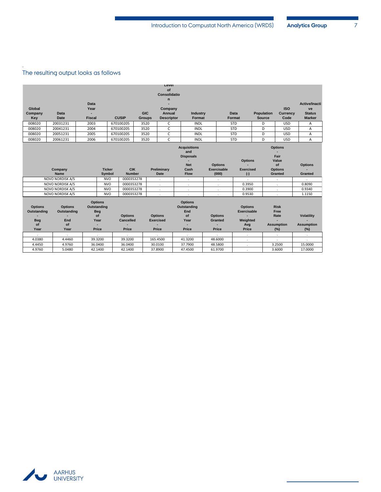# The resulting output looks as follows

.

|                               |                                 |                                             |                             |               | rever              |                                                |                    |                                      |               |                        |                       |
|-------------------------------|---------------------------------|---------------------------------------------|-----------------------------|---------------|--------------------|------------------------------------------------|--------------------|--------------------------------------|---------------|------------------------|-----------------------|
|                               |                                 |                                             |                             |               | of                 |                                                |                    |                                      |               |                        |                       |
|                               |                                 |                                             |                             |               | Consolidatio       |                                                |                    |                                      |               |                        |                       |
|                               |                                 | <b>Data</b>                                 |                             |               | n                  |                                                |                    |                                      |               |                        | <b>Active/Inacti</b>  |
| Global                        |                                 | Year                                        |                             |               | Company            |                                                |                    |                                      |               | <b>ISO</b>             | ve                    |
| Company                       | <b>Data</b>                     |                                             |                             | <b>GIC</b>    | Annual             | <b>Industry</b>                                |                    | <b>Data</b>                          | Population    | <b>Currency</b>        | <b>Status</b>         |
| Key                           | <b>Date</b>                     | <b>Fiscal</b>                               | <b>CUSIP</b>                | <b>Groups</b> | <b>Descriptor</b>  | Format                                         |                    | Format                               | <b>Source</b> | Code                   | <b>Marker</b>         |
| 008020                        | 20031231                        | 2003                                        | 670100205                   | 3520          | C                  | <b>INDL</b>                                    |                    | <b>STD</b>                           | D             | <b>USD</b>             | Α                     |
| 008020                        | 20041231                        | 2004                                        | 670100205                   | 3520          | C                  | <b>INDL</b>                                    |                    | <b>STD</b>                           | D             | <b>USD</b>             | Α                     |
| 008020                        | 20051231                        | 2005                                        | 670100205                   | 3520          | C                  | <b>INDL</b>                                    |                    | <b>STD</b>                           | D             | <b>USD</b>             | Α                     |
| 008020                        | 20061231                        | 2006                                        | 670100205                   | 3520          | $\mathsf{C}$       | <b>INDL</b>                                    |                    | <b>STD</b>                           | D             | <b>USD</b>             | Α                     |
|                               |                                 |                                             |                             |               |                    | <b>Acquisitions</b><br>and<br><b>Disposals</b> |                    |                                      |               | <b>Options</b><br>Fair |                       |
|                               |                                 |                                             |                             |               |                    |                                                |                    | <b>Options</b>                       |               | Value                  |                       |
|                               |                                 |                                             |                             |               |                    | <b>Net</b>                                     | <b>Options</b>     |                                      |               | of                     | <b>Options</b>        |
|                               | Company                         | <b>Ticker</b>                               | <b>CIK</b>                  |               | Preliminary        | Cash                                           | <b>Exercisable</b> | <b>Exercised</b>                     |               | <b>Options</b>         |                       |
|                               | <b>Name</b><br>NOVO NORDISK A/S | Symbol<br><b>NVO</b>                        | <b>Number</b><br>0000353278 |               | <b>Date</b>        | <b>Flow</b>                                    | (000)              | $(\cdot)$                            |               | Granted                | Granted               |
|                               | NOVO NORDISK A/S                | <b>NVO</b>                                  | 0000353278                  |               | ٠                  |                                                |                    | 0.3950                               |               |                        | 0.8090                |
|                               | NOVO NORDISK A/S                | <b>NVO</b>                                  | 0000353278                  |               | $\sim$             | $\mathbf{r}$                                   | $\cdot$            | 0.3900                               |               | $\sim$                 | 0.9340                |
|                               | <b>NOVO NORDISK A/S</b>         | <b>NVO</b>                                  | 0000353278                  |               | ٠<br>$\cdot$       | $\sim$<br>$\cdot$                              | $\cdot$<br>$\cdot$ | 0.9530                               |               | ٠<br>$\sim$            | 1.1150                |
| <b>Options</b><br>Outstanding | <b>Options</b><br>Outstanding   | <b>Options</b><br>Outstanding<br><b>Beg</b> |                             |               |                    | <b>Options</b><br>Outstanding<br>End           |                    | <b>Options</b><br><b>Exercisable</b> |               | <b>Risk</b><br>Free    |                       |
|                               |                                 | of                                          | <b>Options</b>              |               | <b>Options</b>     | of                                             | <b>Options</b>     | ۰                                    |               | Rate                   | <b>Volatility</b>     |
| <b>Beg</b>                    | End                             | Year                                        | <b>Cancelled</b>            |               | <b>Exercised</b>   | Year                                           | <b>Granted</b>     | Weighted                             |               |                        |                       |
| of                            | of                              |                                             |                             |               |                    | ÷                                              |                    | Avg                                  |               | <b>Assumption</b>      | <b>Assumption</b>     |
| Year                          | Year                            | Price                                       | Price                       |               | Price              | Price                                          | Price              | Price                                |               | (%)                    | (%)                   |
| $\sim$                        | $\cdot$                         | $\ddot{\phantom{0}}$                        | $\epsilon$                  |               | $\epsilon$         | $\epsilon$                                     | $\epsilon$         | $\sim$                               |               | $\cdot$                | $\sim$                |
| 4.0380                        | 4.4460<br>4.9760                | 39.3200                                     | 39.3200<br>36.0400          |               | 165.4500           | 41.3200<br>37.7900                             | 48.6000            | $\sim$                               |               | $\cdot$<br>3.2500      | $\epsilon$<br>15.0000 |
| 4.4450<br>4.9760              | 5.0480                          | 36.0400<br>42.1400                          | 42.1400                     |               | 30.0100<br>37.8900 | 47.4500                                        | 48.5800<br>61.9700 | $\bullet$                            |               | 3.6000                 | 17.0000               |
|                               |                                 |                                             |                             |               |                    |                                                |                    | ٠                                    |               |                        |                       |

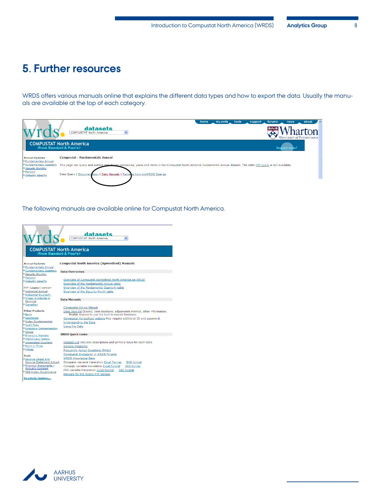# <span id="page-9-0"></span>**5. Further resources**

WRDS offers various manuals online that explains the different data types and how to export the data. Usually the manuals are available at the top of each category.

|                                              | about<br>my.wrds tools<br>home<br>support<br>forums<br>news<br>datasets<br><b>BAJE TAT.</b><br>harton<br><b>COMPUSTAT North America</b>                                    |
|----------------------------------------------|----------------------------------------------------------------------------------------------------------------------------------------------------------------------------|
|                                              | $\vee$<br>UNIVERSITY of PENNSYLVANIA                                                                                                                                       |
|                                              | <b>COMPUSTAT North America</b><br><b>//from Standard &amp; Poor's&gt;</b><br>logout no                                                                                     |
| <b>Annual Updates</b><br>Fundamentals Annual | <b>Compustat - Fundamentals Annual</b>                                                                                                                                     |
| Fundamentals Quarterly<br>Security Monthly   | This page can query and extract data fer all companies, years and items in the Compustat North America Fundamental Annual dataset. The older FTP query is still available. |
| Pension<br>Industry Specific                 | Data Query   Documentation   Data Manuals   Retrieve from myWRDS Queries                                                                                                   |
|                                              |                                                                                                                                                                            |

The following manuals are available online for Compustat North America.

| wrds<br>//from Standard & Poor's>                         | datasets<br><b>COMPUSTAT North America</b><br>$\checkmark$<br><b>COMPUSTAT North America</b> |
|-----------------------------------------------------------|----------------------------------------------------------------------------------------------|
| <b>Annual Updates</b>                                     | <b>Compustat North America (Xpressfeed) Manuals</b>                                          |
| Fundamentals Annual                                       |                                                                                              |
| Fundamentals Quarterly                                    | <b>Data Overviews</b>                                                                        |
| Security Monthly                                          |                                                                                              |
| Pension                                                   | Overview of Compustat Xpressfeed North America on WRDS                                       |
| Industry Specific                                         | Overview of the Fundamental Annual table                                                     |
| FTP (Legacy) Version                                      | Overview of the Fundamental Quarterly table                                                  |
| Industrial Annual                                         | Overview of the Security Month table                                                         |
| Industrial Quarterly                                      |                                                                                              |
| Prices, Dividends &<br>Earnings                           | <b>Data Manuals</b>                                                                          |
| Canadian                                                  |                                                                                              |
|                                                           | <b>Compustat Online Manual</b>                                                               |
| <b>Other Products</b>                                     | Data Item list (Excel). Item locations, adjustment method, other information.                |
| Bank<br>Seaments                                          | Enable macros to use the built-in search functions.                                          |
| Index Fundamentals                                        | Compustat Xpressfeed website May require additional ID and password.                         |
| Audit Fees                                                | Understanding the Data                                                                       |
| Executive Compensation                                    | Using the Data                                                                               |
| Global                                                    |                                                                                              |
| Emerging Markets                                          | <b>WRDS Ouick Links</b>                                                                      |
| Preliminary History                                       |                                                                                              |
| Unrestated Ouarterly                                      | Dataset List Includes descriptions and primary keys for each table                           |
| Point in Time<br>Filings                                  | Sample Programs                                                                              |
|                                                           | Frequently Asked Ouestions (FAOs)                                                            |
| Tools                                                     | <b>Compustat Discussion in WRDS Forums</b>                                                   |
| Balance Sheet and                                         | <b>WRDS Knowledge Base</b>                                                                   |
| <b>Income Statement Extract</b><br>Financial Statements - | Compann variable translation Excel Format<br>SAS format                                      |
| <b>Annually Updated</b>                                   | Compatr variable translation Excel Format<br>SAS format                                      |
| S&P Index Constituents                                    | PDE variable translation Excel Format<br>SAS format                                          |
|                                                           | Manuals for the legacy FTP version                                                           |
| <b>Ouarterly Updates</b>                                  |                                                                                              |